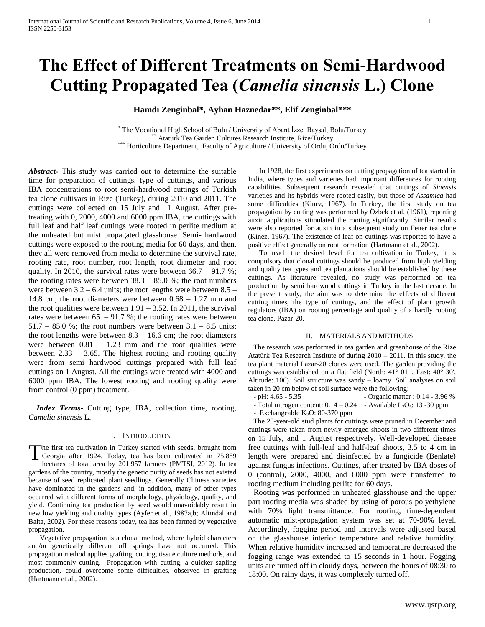# **The Effect of Different Treatments on Semi-Hardwood Cutting Propagated Tea (***Camelia sinensis* **L.) Clone**

**Hamdi Zenginbal\*, Ayhan Haznedar\*\*, Elif Zenginbal\*\*\***

\* The Vocational High School of Bolu / University of Abant İzzet Baysal, Bolu/Turkey Ataturk Tea Garden Cultures Research Institute, Rize/Turkey \*\*\* Horticulture Department, Faculty of Agriculture / University of Ordu, Ordu/Turkey

*Abstract***-** This study was carried out to determine the suitable time for preparation of cuttings, type of cuttings, and various IBA concentrations to root semi-hardwood cuttings of Turkish tea clone cultivars in Rize (Turkey), during 2010 and 2011. The cuttings were collected on 15 July and 1 August. After pretreating with 0, 2000, 4000 and 6000 ppm IBA, the cuttings with full leaf and half leaf cuttings were rooted in perlite medium at the unheated but mist propagated glasshouse. Semi- hardwood cuttings were exposed to the rooting media for 60 days, and then, they all were removed from media to determine the survival rate, rooting rate, root number, root length, root diameter and root quality. In 2010, the survival rates were between  $66.7 - 91.7$  %; the rooting rates were between  $38.3 - 85.0$  %; the root numbers were between  $3.2 - 6.4$  units; the root lengths were between  $8.5 -$ 14.8 cm; the root diameters were between 0.68 – 1.27 mm and the root qualities were between  $1.91 - 3.52$ . In 2011, the survival rates were between  $65. - 91.7$  %; the rooting rates were between  $51.7 - 85.0$  %; the root numbers were between  $3.1 - 8.5$  units; the root lengths were between  $8.3 - 16.6$  cm; the root diameters were between  $0.81 - 1.23$  mm and the root qualities were between  $2.33 - 3.65$ . The highest rooting and rooting quality were from semi hardwood cuttings prepared with full leaf cuttings on 1 August. All the cuttings were treated with 4000 and 6000 ppm IBA. The lowest rooting and rooting quality were from control (0 ppm) treatment.

 *Index Terms*- Cutting type, IBA, collection time, rooting, *Camelia sinensis* L.

## I. INTRODUCTION

The first tea cultivation in Turkey started with seeds, brought from The first tea cultivation in Turkey started with seeds, brought from<br>Georgia after 1924. Today, tea has been cultivated in 75.889<br>besteres of total area by 201.057 formers (PMTSL 2012). In tea hectares of total area by 201.957 farmers (PMTSI, 2012). In tea gardens of the country, mostly the genetic purity of seeds has not existed because of seed replicated plant seedlings. Generally Chinese varieties have dominated in the gardens and, in addition, many of other types occurred with different forms of morphology, physiology, quality, and yield. Continuing tea production by seed would unavoidably result in new low yielding and quality types (Ayfer et al., 1987a,b; Altındal and Balta, 2002). For these reasons today, tea has been farmed by vegetative propagation.

Vegetative propagation is a clonal method, where hybrid characters and/or genetically different off springs have not occurred. This propagation method applies grafting, cutting, tissue culture methods, and most commonly cutting. Propagation with cutting, a quicker sapling production, could overcome some difficulties, observed in grafting (Hartmann et al., 2002).

In 1928, the first experiments on cutting propagation of tea started in India, where types and varieties had important differences for rooting capabilities. Subsequent research revealed that cuttings of *Sinensis*  varieties and its hybrids were rooted easily, but those of *Assamica* had some difficulties (Kinez, 1967). In Turkey, the first study on tea propagation by cutting was performed by Özbek et al. (1961), reporting auxin applications stimulated the rooting significantly. Similar results were also reported for auxin in a subsequent study on Fener tea clone (Kinez, 1967). The existence of leaf on cuttings was reported to have a positive effect generally on root formation (Hartmann et al., 2002).

To reach the desired level for tea cultivation in Turkey, it is compulsory that clonal cuttings should be produced from high yielding and quality tea types and tea plantations should be established by these cuttings. As literature revealed, no study was performed on tea production by semi hardwood cuttings in Turkey in the last decade. In the present study, the aim was to determine the effects of different cutting times, the type of cuttings, and the effect of plant growth regulators (IBA) on rooting percentage and quality of a hardly rooting tea clone, Pazar-20.

## II. MATERIALS AND METHODS

The research was performed in tea garden and greenhouse of the Rize Atatürk Tea Research Institute of during 2010 – 2011. In this study, the tea plant material Pazar-20 clones were used. The garden providing the cuttings was established on a flat field (North: 41° 01 ', East: 40° 30', Altitude: 106). Soil structure was sandy – loamy. Soil analyses on soil taken in 20 cm below of soil surface were the following:

- pH: 4.65 - 5.35 - Organic matter : 0.14 - 3.96 %

- Total nitrogen content:  $0.14 - 0.24$  - Available P<sub>2</sub>O<sub>5</sub>: 13 -30 ppm

- Exchangeable  $K_2O$ : 80-370 ppm

The 20-year-old stud plants for cuttings were pruned in December and cuttings were taken from newly emerged shoots in two different times on 15 July, and 1 August respectively. Well-developed disease free cuttings with full-leaf and half-leaf shoots, 3.5 to 4 cm in length were prepared and disinfected by a fungicide (Benlate) against fungus infections. Cuttings, after treated by IBA doses of 0 (control), 2000, 4000, and 6000 ppm were transferred to rooting medium including perlite for 60 days.

Rooting was performed in unheated glasshouse and the upper part rooting media was shaded by using of porous polyethylene with 70% light transmittance. For rooting, time-dependent automatic mist-propagation system was set at 70-90% level. Accordingly, fogging period and intervals were adjusted based on the glasshouse interior temperature and relative humidity. When relative humidity increased and temperature decreased the fogging range was extended to 15 seconds in 1 hour. Fogging units are turned off in cloudy days, between the hours of 08:30 to 18:00. On rainy days, it was completely turned off.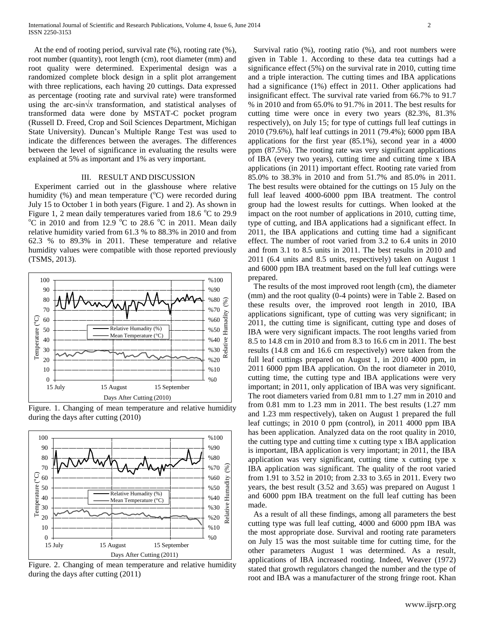At the end of rooting period, survival rate (%), rooting rate (%), root number (quantity), root length (cm), root diameter (mm) and root quality were determined. Experimental design was a randomized complete block design in a split plot arrangement with three replications, each having 20 cuttings. Data expressed as percentage (rooting rate and survival rate) were transformed using the arc-sin√*x* transformation, and statistical analyses of transformed data were done by MSTAT-C pocket program (Russell D. Freed, Crop and Soil Sciences Department, Michigan State University). Duncan's Multiple Range Test was used to indicate the differences between the averages. The differences between the level of significance in evaluating the results were explained at 5% as important and 1% as very important.

#### III. RESULT AND DISCUSSION

 Experiment carried out in the glasshouse where relative humidity (%) and mean temperature ( $\rm ^{o}C$ ) were recorded during July 15 to October 1 in both years (Figure. 1 and 2). As shown in Figure 1, 2 mean daily temperatures varied from  $18.6 \degree C$  to  $29.9$  $\rm{^{\circ}C}$  in 2010 and from 12.9  $\rm{^{\circ}C}$  to 28.6  $\rm{^{\circ}C}$  in 2011. Mean daily relative humidity varied from 61.3 % to 88.3% in 2010 and from 62.3 % to 89.3% in 2011. These temperature and relative humidity values were compatible with those reported previously (TSMS, 2013).



Figure. 1. Changing of mean temperature and relative humidity during the days after cutting (2010)



Figure. 2. Changing of mean temperature and relative humidity during the days after cutting (2011)

Survival ratio (%), rooting ratio (%), and root numbers were given in Table 1. According to these data tea cuttings had a significance effect (5%) on the survival rate in 2010, cutting time and a triple interaction. The cutting times and IBA applications had a significance (1%) effect in 2011. Other applications had insignificant effect. The survival rate varied from 66.7% to 91.7 % in 2010 and from 65.0% to 91.7% in 2011. The best results for cutting time were once in every two years (82.3%, 81.3% respectively), on July 15; for type of cuttings full leaf cuttings in 2010 (79.6%), half leaf cuttings in 2011 (79.4%); 6000 ppm IBA applications for the first year (85.1%), second year in a 4000 ppm (87.5%). The rooting rate was very significant applications of IBA (every two years), cutting time and cutting time x IBA applications (in 2011) important effect. Rooting rate varied from 85.0% to 38.3% in 2010 and from 51.7% and 85.0% in 2011. The best results were obtained for the cuttings on 15 July on the full leaf leaved 4000-6000 ppm IBA treatment. The control group had the lowest results for cuttings. When looked at the impact on the root number of applications in 2010, cutting time, type of cutting, and IBA applications had a significant effect. In 2011, the IBA applications and cutting time had a significant effect. The number of root varied from 3.2 to 6.4 units in 2010 and from 3.1 to 8.5 units in 2011. The best results in 2010 and 2011 (6.4 units and 8.5 units, respectively) taken on August 1 and 6000 ppm IBA treatment based on the full leaf cuttings were prepared.

The results of the most improved root length (cm), the diameter (mm) and the root quality (0-4 points) were in Table 2. Based on these results over, the improved root length in 2010, IBA applications significant, type of cutting was very significant; in 2011, the cutting time is significant, cutting type and doses of IBA were very significant impacts. The root lengths varied from 8.5 to 14.8 cm in 2010 and from 8.3 to 16.6 cm in 2011. The best results (14.8 cm and 16.6 cm respectively) were taken from the full leaf cuttings prepared on August 1, in 2010 4000 ppm, in 2011 6000 ppm IBA application. On the root diameter in 2010, cutting time, the cutting type and IBA applications were very important; in 2011, only application of IBA was very significant. The root diameters varied from 0.81 mm to 1.27 mm in 2010 and from 0.81 mm to 1.23 mm in 2011. The best results (1.27 mm and 1.23 mm respectively), taken on August 1 prepared the full leaf cuttings; in 2010 0 ppm (control), in 2011 4000 ppm IBA has been application. Analyzed data on the root quality in 2010, the cutting type and cutting time x cutting type x IBA application is important, IBA application is very important; in 2011, the IBA application was very significant, cutting time x cutting type x IBA application was significant. The quality of the root varied from 1.91 to 3.52 in 2010; from 2.33 to 3.65 in 2011. Every two years, the best result (3.52 and 3.65) was prepared on August 1 and 6000 ppm IBA treatment on the full leaf cutting has been made.

As a result of all these findings, among all parameters the best cutting type was full leaf cutting, 4000 and 6000 ppm IBA was the most appropriate dose. Survival and rooting rate parameters on July 15 was the most suitable time for cutting time, for the other parameters August 1 was determined. As a result, applications of IBA increased rooting. Indeed, Weaver (1972) stated that growth regulators changed the number and the type of root and IBA was a manufacturer of the strong fringe root. Khan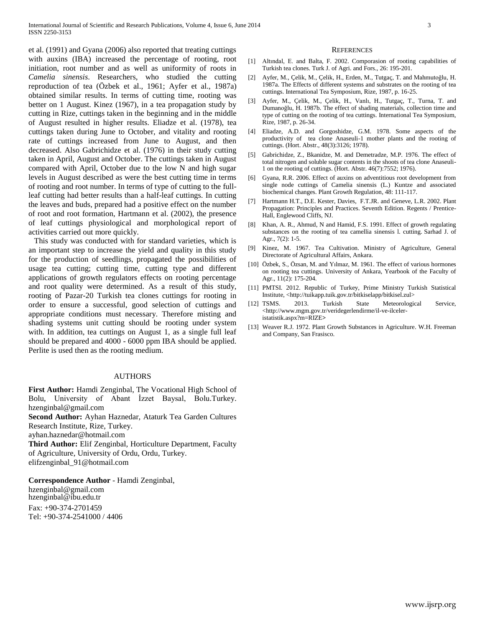et al. (1991) and Gyana (2006) also reported that treating cuttings with auxins (IBA) increased the percentage of rooting, root initiation, root number and as well as uniformity of roots in *Camelia sinensis*. Researchers, who studied the cutting reproduction of tea (Özbek et al., 1961; Ayfer et al., 1987a) obtained similar results. In terms of cutting time, rooting was better on 1 August. Kinez (1967), in a tea propagation study by cutting in Rize, cuttings taken in the beginning and in the middle of August resulted in higher results. Eliadze et al. (1978), tea cuttings taken during June to October, and vitality and rooting rate of cuttings increased from June to August, and then decreased. Also Gabrichidze et al. (1976) in their study cutting taken in April, August and October. The cuttings taken in August compared with April, October due to the low N and high sugar levels in August described as were the best cutting time in terms of rooting and root number. In terms of type of cutting to the fullleaf cutting had better results than a half-leaf cuttings. In cutting the leaves and buds, prepared had a positive effect on the number of root and root formation, Hartmann et al. (2002), the presence of leaf cuttings physiological and morphological report of activities carried out more quickly.

This study was conducted with for standard varieties, which is an important step to increase the yield and quality in this study for the production of seedlings, propagated the possibilities of usage tea cutting; cutting time, cutting type and different applications of growth regulators effects on rooting percentage and root quality were determined. As a result of this study, rooting of Pazar-20 Turkish tea clones cuttings for rooting in order to ensure a successful, good selection of cuttings and appropriate conditions must necessary. Therefore misting and shading systems unit cutting should be rooting under system with. In addition, tea cuttings on August 1, as a single full leaf should be prepared and 4000 - 6000 ppm IBA should be applied. Perlite is used then as the rooting medium.

### AUTHORS

**First Author:** Hamdi Zenginbal, The Vocational High School of Bolu, University of Abant İzzet Baysal, Bolu.Turkey. hzenginbal@gmail.com **Second Author:** Ayhan Haznedar, Ataturk Tea Garden Cultures Research Institute, Rize, Turkey. ayhan.haznedar@hotmail.com **Third Author:** Elif Zenginbal, Horticulture Department, Faculty of Agriculture, University of Ordu, Ordu, Turkey. elifzenginbal\_91@hotmail.com

**Correspondence Author** - Hamdi Zenginbal, hzenginbal@gmail.com hzenginbal@ibu.edu.tr Fax: +90-374-2701459 Tel: +90-374-2541000 / 4406

#### **REFERENCES**

- [1] Altındal, E. and Balta, F. 2002. Comporasion of rooting capabilities of Turkish tea clones. Turk J. of Agri. and Fors., 26: 195-201.
- [2] Ayfer, M., Çelik, M., Çelik, H., Erden, M., Tutgaç, T. and Mahmutoğlu, H. 1987a. The Effects of different systems and substrates on the rooting of tea cuttings. International Tea Symposium, Rize, 1987, p. 16-25.
- [3] Ayfer, M., Çelik, M., Çelik, H., Vanlı, H., Tutgaç, T., Turna, T. and Dumanoğlu, H. 1987b. The effect of shading materials, collection time and type of cutting on the rooting of tea cuttings. International Tea Symposium, Rize, 1987, p. 26-34.
- [4] Eliadze, A.D. and Gorgoshidze, G.M. 1978. Some aspects of the productivity of tea clone Anaseuli-1 mother plants and the rooting of cuttings. (Hort. Abstr., 48(3):3126; 1978).
- [5] Gabrichidze, Z., Bkanidze, M. and Demetradze, M.P. 1976. The effect of total nitrogen and soluble sugar contents in the shoots of tea clone Anaseuli-1 on the rooting of cuttings. (Hort. Abstr. 46(7):7552; 1976).
- [6] Gyana, R.R. 2006. Effect of auxins on adventitious root development from single node cuttings of Camelia sinensis (L.) Kuntze and associated biochemical changes. Plant Growth Regulation, 48: 111-117.
- [7] Hartmann H.T., D.E. Kester, Davies, F.T.JR. and Geneve, L.R. 2002. Plant Propagation: Principles and Practices. Seventh Edition. Regents / Prentice-Hall, Englewood Cliffs, NJ.
- [8] Khan, A. R., Ahmud, N and Hamid, F.S. 1991. Effect of growth regulating substances on the rooting of tea camellia sinensis l. cutting. Sarhad J. of Agr., 7(2): 1-5.
- [9] Kinez, M. 1967. Tea Cultivation. Ministry of Agriculture, General Directorate of Agricultural Affairs, Ankara.
- [10] Özbek, S., Özsan, M. and Yılmaz, M. 1961. The effect of various hormones on rooting tea cuttings. University of Ankara, Yearbook of the Faculty of Agr., 11(2): 175-204.
- [11] PMTSI. 2012. Republic of Turkey, Prime Ministry Turkish Statistical Institute, <http://tuikapp.tuik.gov.tr/bitkiselapp/bitkisel.zul>
- [12] TSMS. 2013. Turkish State Meteorological Service, <http://www.mgm.gov.tr/veridegerlendirme/il-ve-ilceleristatistik.aspx?m=RIZE**>**
- [13] Weaver R.J. 1972. Plant Growth Substances in Agriculture. W.H. Freeman and Company, San Frasisco.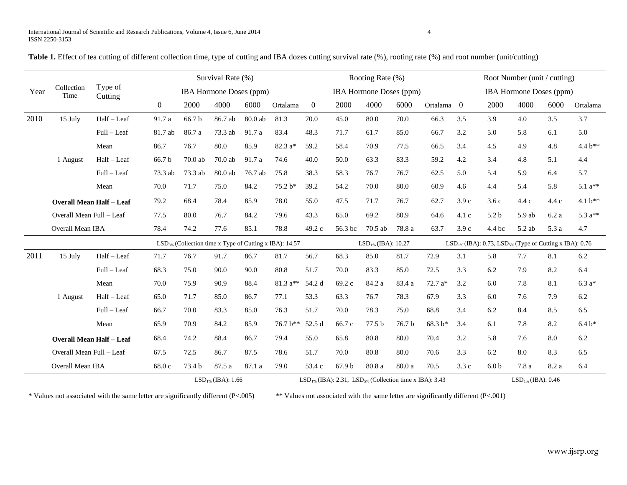| Table 1. Effect of tea cutting of different collection time, type of cutting and IBA dozes cutting survival rate (%), rooting rate (%) and root number (unit/cutting) |  |  |  |  |
|-----------------------------------------------------------------------------------------------------------------------------------------------------------------------|--|--|--|--|
|-----------------------------------------------------------------------------------------------------------------------------------------------------------------------|--|--|--|--|

| Year                     | Collection<br>Time              | Type of<br>Cutting | Survival Rate (%)                                        |           |         |         |                                                                    |                  |                          | Rooting Rate (%)               |        |                         | Root Number (unit / cutting)   |                                                                          |        |       |          |  |
|--------------------------|---------------------------------|--------------------|----------------------------------------------------------|-----------|---------|---------|--------------------------------------------------------------------|------------------|--------------------------|--------------------------------|--------|-------------------------|--------------------------------|--------------------------------------------------------------------------|--------|-------|----------|--|
|                          |                                 |                    | <b>IBA Hormone Doses (ppm)</b>                           |           |         |         |                                                                    |                  |                          | <b>IBA Hormone Doses (ppm)</b> |        |                         | <b>IBA Hormone Doses (ppm)</b> |                                                                          |        |       |          |  |
|                          |                                 |                    | $\overline{0}$                                           | 2000      | 4000    | 6000    | Ortalama                                                           | $\boldsymbol{0}$ | 2000                     | 4000                           | 6000   | Ortalama 0              |                                | 2000                                                                     | 4000   | 6000  | Ortalama |  |
| 2010                     | 15 July                         | Half-Leaf          | 91.7 a                                                   | 66.7 b    | 86.7 ab | 80.0 ab | 81.3                                                               | 70.0             | 45.0                     | 80.0                           | 70.0   | 66.3                    | 3.5                            | 3.9                                                                      | 4.0    | 3.5   | 3.7      |  |
|                          |                                 | Full - Leaf        | 81.7 ab                                                  | 86.7 a    | 73.3 ab | 91.7 a  | 83.4                                                               | 48.3             | 71.7                     | 61.7                           | 85.0   | 66.7                    | 3.2                            | 5.0                                                                      | 5.8    | 6.1   | 5.0      |  |
|                          |                                 | Mean               | 86.7                                                     | 76.7      | 80.0    | 85.9    | $82.3 a*$                                                          | 59.2             | 58.4                     | 70.9                           | 77.5   | 66.5                    | 3.4                            | 4.5                                                                      | 4.9    | 4.8   | 4.4 b**  |  |
|                          | 1 August                        | Half - Leaf        | 66.7 <sub>b</sub>                                        | $70.0$ ab | 70.0ab  | 91.7 a  | 74.6                                                               | 40.0             | 50.0                     | 63.3                           | 83.3   | 59.2                    | 4.2                            | 3.4                                                                      | 4.8    | 5.1   | 4.4      |  |
|                          |                                 | Full – Leaf        | 73.3 ab                                                  | 73.3 ab   | 80.0ab  | 76.7 ab | 75.8                                                               | 38.3             | 58.3                     | 76.7                           | 76.7   | 62.5                    | 5.0                            | 5.4                                                                      | 5.9    | 6.4   | 5.7      |  |
|                          |                                 | Mean               | 70.0                                                     | 71.7      | 75.0    | 84.2    | 75.2 b*                                                            | 39.2             | 54.2                     | 70.0                           | 80.0   | 60.9                    | 4.6                            | 4.4                                                                      | 5.4    | 5.8   | $5.1a**$ |  |
|                          | <b>Overall Mean Half - Leaf</b> |                    | 79.2                                                     | 68.4      | 78.4    | 85.9    | 78.0                                                               | 55.0             | 47.5                     | 71.7                           | 76.7   | 62.7                    | 3.9c                           | 3.6c                                                                     | 4.4c   | 4.4c  | 4.1 b**  |  |
|                          | Overall Mean Full - Leaf        |                    | 77.5                                                     | 80.0      | 76.7    | 84.2    | 79.6                                                               | 43.3             | 65.0                     | 69.2                           | 80.9   | 64.6                    | 4.1 c                          | 5.2 <sub>b</sub>                                                         | 5.9 ab | 6.2a  | 5.3 a**  |  |
|                          | Overall Mean IBA                |                    | 78.4                                                     | 74.2      | 77.6    | 85.1    | 78.8                                                               | 49.2 c           | 56.3 bc                  | $70.5$ ab                      | 78.8 a | 63.7                    | 3.9c                           | 4.4 bc                                                                   | 5.2 ab | 5.3 a | 4.7      |  |
|                          |                                 |                    | $LSD5%$ (Collection time x Type of Cutting x IBA): 14.57 |           |         |         |                                                                    |                  | $LSD_{1\%}$ (IBA): 10.27 |                                |        |                         |                                | $LSD_{1\%}$ (IBA): 0.73, LSD <sub>5%</sub> (Type of Cutting x IBA): 0.76 |        |       |          |  |
| 2011                     | 15 July                         | Half-Leaf          | 71.7                                                     | 76.7      | 91.7    | 86.7    | 81.7                                                               | 56.7             | 68.3                     | 85.0                           | 81.7   | 72.9                    | 3.1                            | 5.8                                                                      | 7.7    | 8.1   | 6.2      |  |
|                          |                                 | Full - Leaf        | 68.3                                                     | 75.0      | 90.0    | 90.0    | 80.8                                                               | 51.7             | 70.0                     | 83.3                           | 85.0   | 72.5                    | 3.3                            | 6.2                                                                      | 7.9    | 8.2   | 6.4      |  |
|                          |                                 | Mean               | 70.0                                                     | 75.9      | 90.9    | 88.4    | $81.3 a**$                                                         | 54.2 d           | 69.2 c                   | 84.2 a                         | 83.4 a | 72.7 a*                 | 3.2                            | 6.0                                                                      | 7.8    | 8.1   | $6.3a*$  |  |
|                          | 1 August                        | Half-Leaf          | 65.0                                                     | 71.7      | 85.0    | 86.7    | 77.1                                                               | 53.3             | 63.3                     | 76.7                           | 78.3   | 67.9                    | 3.3                            | 6.0                                                                      | 7.6    | 7.9   | 6.2      |  |
|                          |                                 | Full - Leaf        | 66.7                                                     | 70.0      | 83.3    | 85.0    | 76.3                                                               | 51.7             | 70.0                     | 78.3                           | 75.0   | 68.8                    | 3.4                            | 6.2                                                                      | 8.4    | 8.5   | 6.5      |  |
|                          |                                 | Mean               | 65.9                                                     | 70.9      | 84.2    | 85.9    | 76.7 b**                                                           | 52.5 d           | 66.7 c                   | 77.5 b                         | 76.7 b | 68.3 b*                 | 3.4                            | 6.1                                                                      | 7.8    | 8.2   | $6.4 b*$ |  |
|                          | <b>Overall Mean Half - Leaf</b> |                    | 68.4                                                     | 74.2      | 88.4    | 86.7    | 79.4                                                               | 55.0             | 65.8                     | 80.8                           | 80.0   | 70.4                    | 3.2                            | 5.8                                                                      | 7.6    | 8.0   | 6.2      |  |
| Overall Mean Full - Leaf |                                 | 67.5               | 72.5                                                     | 86.7      | 87.5    | 78.6    | 51.7                                                               | 70.0             | 80.8                     | 80.0                           | 70.6   | 3.3                     | 6.2                            | 8.0                                                                      | 8.3    | 6.5   |          |  |
|                          | <b>Overall Mean IBA</b>         |                    | 68.0 c                                                   | 73.4 b    | 87.5 a  | 87.1 a  | 79.0                                                               | 53.4 c           | 67.9 b                   | 80.8 a                         | 80.0 a | 70.5                    | 3.3c                           | 6.0 <sub>b</sub>                                                         | 7.8 a  | 8.2 a | 6.4      |  |
|                          | $LSD_{1\%}$ (IBA): 1.66         |                    |                                                          |           |         |         | $LSD_{1\%}$ (IBA): 2.31, $LSD_{5\%}$ (Collection time x IBA): 3.43 |                  |                          |                                |        | $LSD_{1\%}$ (IBA): 0.46 |                                |                                                                          |        |       |          |  |

\* Values not associated with the same letter are significantly different (P<.005) \*\* Values not associated with the same letter are significantly different (P<.001)